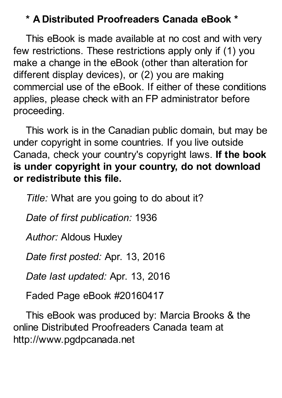#### **\* A Distributed Proofreaders Canada eBook \***

This eBook is made available at no cost and with very few restrictions. These restrictions apply only if (1) you make a change in the eBook (other than alteration for different display devices), or (2) you are making commercial use of the eBook. If either of these conditions applies, please check with an FP administrator before proceeding.

This work is in the Canadian public domain, but may be under copyright in some countries. If you live outside Canada, check your country's copyright laws. **If the book is under copyright in your country, do not download or redistribute this file.**

*Title:* What are you going to do about it?

*Date of first publication:* 1936

*Author:* Aldous Huxley

*Date first posted:* Apr. 13, 2016

*Date last updated:* Apr. 13, 2016

Faded Page eBook #20160417

This eBook was produced by: Marcia Brooks & the online Distributed Proofreaders Canada team at http://www.pgdpcanada.net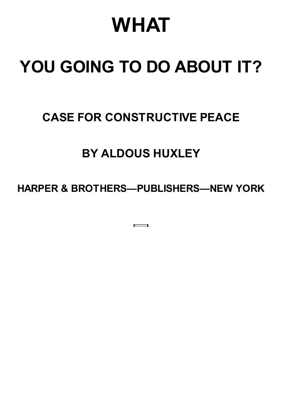### **WHAT**

#### **YOU GOING TO DO ABOUT IT?**

#### **CASE FOR CONSTRUCTIVE PEACE**

#### **BY ALDOUS HUXLEY**

**HARPER & BROTHERS—PUBLISHERS—NEW YORK**

 $\overline{\phantom{0}}$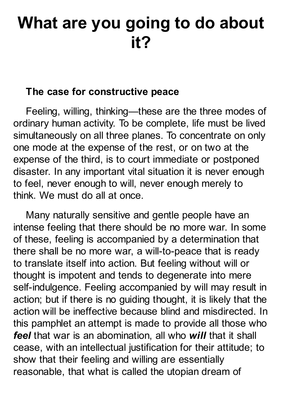#### **What are you going to do about it?**

#### **The case for constructive peace**

Feeling, willing, thinking—these are the three modes of ordinary human activity. To be complete, life must be lived simultaneously on all three planes. To concentrate on only one mode at the expense of the rest, or on two at the expense of the third, is to court immediate or postponed disaster. In any important vital situation it is never enough to feel, never enough to will, never enough merely to think. We must do all at once.

Many naturally sensitive and gentle people have an intense feeling that there should be no more war. In some of these, feeling is accompanied by a determination that there shall be no more war, a will-to-peace that is ready to translate itself into action. But feeling without will or thought is impotent and tends to degenerate into mere self-indulgence. Feeling accompanied by will may result in action; but if there is no guiding thought, it is likely that the action will be ineffective because blind and misdirected. In this pamphlet an attempt is made to provide all those who *feel* that war is an abomination, all who *will* that it shall cease, with an intellectual justification for their attitude; to show that their feeling and willing are essentially reasonable, that what is called the utopian dream of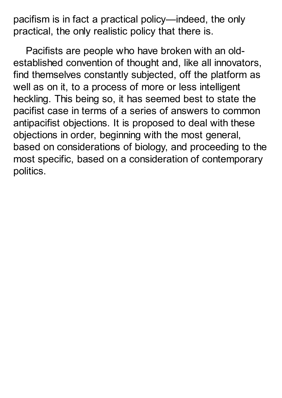pacifism is in fact a practical policy—indeed, the only practical, the only realistic policy that there is.

Pacifists are people who have broken with an oldestablished convention of thought and, like all innovators, find themselves constantly subjected, off the platform as well as on it, to a process of more or less intelligent heckling. This being so, it has seemed best to state the pacifist case in terms of a series of answers to common antipacifist objections. It is proposed to deal with these objections in order, beginning with the most general, based on considerations of biology, and proceeding to the most specific, based on a consideration of contemporary politics.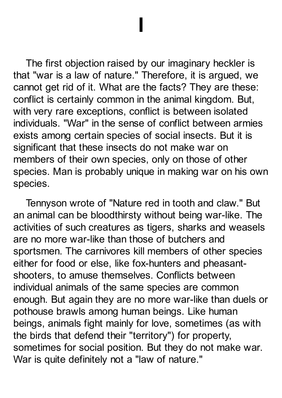The first objection raised by our imaginary heckler is that "war is a law of nature." Therefore, it is argued, we cannot get rid of it. What are the facts? They are these: conflict is certainly common in the animal kingdom. But, with very rare exceptions, conflict is between isolated individuals. "War" in the sense of conflict between armies exists among certain species of social insects. But it is significant that these insects do not make war on members of their own species, only on those of other species. Man is probably unique in making war on his own species.

**I**

Tennyson wrote of "Nature red in tooth and claw." But an animal can be bloodthirsty without being war-like. The activities of such creatures as tigers, sharks and weasels are no more war-like than those of butchers and sportsmen. The carnivores kill members of other species either for food or else, like fox-hunters and pheasantshooters, to amuse themselves. Conflicts between individual animals of the same species are common enough. But again they are no more war-like than duels or pothouse brawls among human beings. Like human beings, animals fight mainly for love, sometimes (as with the birds that defend their "territory") for property, sometimes for social position. But they do not make war. War is quite definitely not a "law of nature."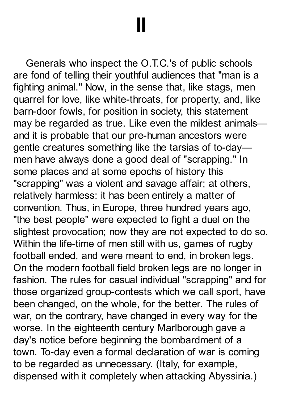**II**

Generals who inspect the O.T.C.'s of public schools are fond of telling their youthful audiences that "man is a fighting animal." Now, in the sense that, like stags, men quarrel for love, like white-throats, for property, and, like barn-door fowls, for position in society, this statement may be regarded as true. Like even the mildest animals and it is probable that our pre-human ancestors were gentle creatures something like the tarsias of to-day men have always done a good deal of "scrapping." In some places and at some epochs of history this "scrapping" was a violent and savage affair; at others, relatively harmless: it has been entirely a matter of convention. Thus, in Europe, three hundred years ago, "the best people" were expected to fight a duel on the slightest provocation; now they are not expected to do so. Within the life-time of men still with us, games of rugby football ended, and were meant to end, in broken legs. On the modern football field broken legs are no longer in fashion. The rules for casual individual "scrapping" and for those organized group-contests which we call sport, have been changed, on the whole, for the better. The rules of war, on the contrary, have changed in every way for the worse. In the eighteenth century Marlborough gave a day's notice before beginning the bombardment of a town. To-day even a formal declaration of war is coming to be regarded as unnecessary. (Italy, for example, dispensed with it completely when attacking Abyssinia.)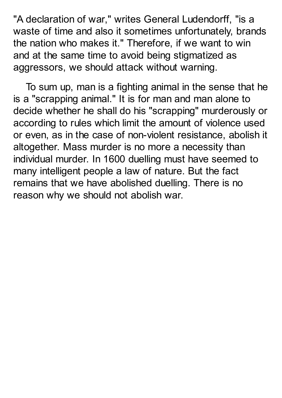"A declaration of war," writes General Ludendorff, "is a waste of time and also it sometimes unfortunately, brands the nation who makes it." Therefore, if we want to win and at the same time to avoid being stigmatized as aggressors, we should attack without warning.

To sum up, man is a fighting animal in the sense that he is a "scrapping animal." It is for man and man alone to decide whether he shall do his "scrapping" murderously or according to rules which limit the amount of violence used or even, as in the case of non-violent resistance, abolish it altogether. Mass murder is no more a necessity than individual murder. In 1600 duelling must have seemed to many intelligent people a law of nature. But the fact remains that we have abolished duelling. There is no reason why we should not abolish war.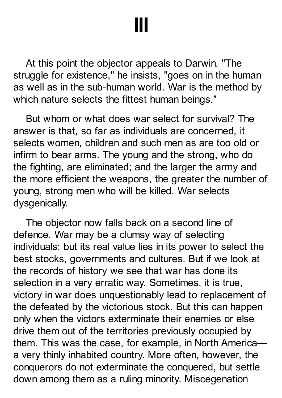## **III**

At this point the objector appeals to Darwin. "The struggle for existence," he insists, "goes on in the human as well as in the sub-human world. War is the method by which nature selects the fittest human beings."

But whom or what does war select for survival? The answer is that, so far as individuals are concerned, it selects women, children and such men as are too old or infirm to bear arms. The young and the strong, who do the fighting, are eliminated; and the larger the army and the more efficient the weapons, the greater the number of young, strong men who will be killed. War selects dysgenically.

The objector now falls back on a second line of defence. War may be a clumsy way of selecting individuals; but its real value lies in its power to select the best stocks, governments and cultures. But if we look at the records of history we see that war has done its selection in a very erratic way. Sometimes, it is true, victory in war does unquestionably lead to replacement of the defeated by the victorious stock. But this can happen only when the victors exterminate their enemies or else drive them out of the territories previously occupied by them. This was the case, for example, in North America a very thinly inhabited country. More often, however, the conquerors do not exterminate the conquered, but settle down among them as a ruling minority. Miscegenation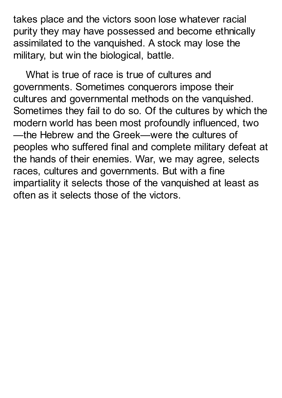takes place and the victors soon lose whatever racial purity they may have possessed and become ethnically assimilated to the vanquished. A stock may lose the military, but win the biological, battle.

What is true of race is true of cultures and governments. Sometimes conquerors impose their cultures and governmental methods on the vanquished. Sometimes they fail to do so. Of the cultures by which the modern world has been most profoundly influenced, two —the Hebrew and the Greek—were the cultures of peoples who suffered final and complete military defeat at the hands of their enemies. War, we may agree, selects races, cultures and governments. But with a fine impartiality it selects those of the vanquished at least as often as it selects those of the victors.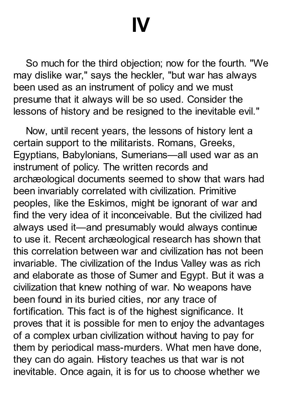## **IV**

So much for the third objection; now for the fourth. "We may dislike war," says the heckler, "but war has always been used as an instrument of policy and we must presume that it always will be so used. Consider the lessons of history and be resigned to the inevitable evil."

Now, until recent years, the lessons of history lent a certain support to the militarists. Romans, Greeks, Egyptians, Babylonians, Sumerians—all used war as an instrument of policy. The written records and archæological documents seemed to show that wars had been invariably correlated with civilization. Primitive peoples, like the Eskimos, might be ignorant of war and find the very idea of it inconceivable. But the civilized had always used it—and presumably would always continue to use it. Recent archæological research has shown that this correlation between war and civilization has not been invariable. The civilization of the Indus Valley was as rich and elaborate as those of Sumer and Egypt. But it was a civilization that knew nothing of war. No weapons have been found in its buried cities, nor any trace of fortification. This fact is of the highest significance. It proves that it is possible for men to enjoy the advantages of a complex urban civilization without having to pay for them by periodical mass-murders. What men have done, they can do again. History teaches us that war is not inevitable. Once again, it is for us to choose whether we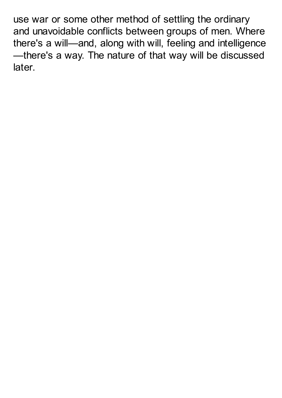use war or some other method of settling the ordinary and unavoidable conflicts between groups of men. Where there's a will—and, along with will, feeling and intelligence —there's a way. The nature of that way will be discussed later.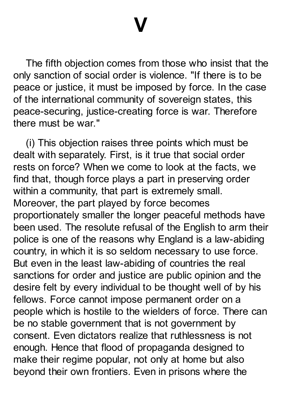The fifth objection comes from those who insist that the only sanction of social order is violence. "If there is to be peace or justice, it must be imposed by force. In the case of the international community of sovereign states, this peace-securing, justice-creating force is war. Therefore there must be war."

**V**

(i) This objection raises three points which must be dealt with separately. First, is it true that social order rests on force? When we come to look at the facts, we find that, though force plays a part in preserving order within a community, that part is extremely small. Moreover, the part played by force becomes proportionately smaller the longer peaceful methods have been used. The resolute refusal of the English to arm their police is one of the reasons why England is a law-abiding country, in which it is so seldom necessary to use force. But even in the least law-abiding of countries the real sanctions for order and justice are public opinion and the desire felt by every individual to be thought well of by his fellows. Force cannot impose permanent order on a people which is hostile to the wielders of force. There can be no stable government that is not government by consent. Even dictators realize that ruthlessness is not enough. Hence that flood of propaganda designed to make their regime popular, not only at home but also beyond their own frontiers. Even in prisons where the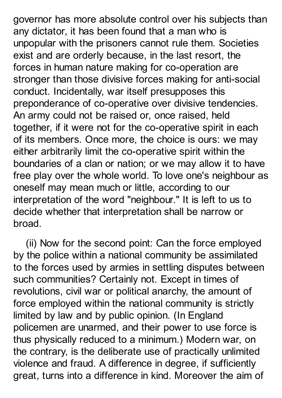governor has more absolute control over his subjects than any dictator, it has been found that a man who is unpopular with the prisoners cannot rule them. Societies exist and are orderly because, in the last resort, the forces in human nature making for co-operation are stronger than those divisive forces making for anti-social conduct. Incidentally, war itself presupposes this preponderance of co-operative over divisive tendencies. An army could not be raised or, once raised, held together, if it were not for the co-operative spirit in each of its members. Once more, the choice is ours: we may either arbitrarily limit the co-operative spirit within the boundaries of a clan or nation; or we may allow it to have free play over the whole world. To love one's neighbour as oneself may mean much or little, according to our interpretation of the word "neighbour." It is left to us to decide whether that interpretation shall be narrow or broad.

(ii) Now for the second point: Can the force employed by the police within a national community be assimilated to the forces used by armies in settling disputes between such communities? Certainly not. Except in times of revolutions, civil war or political anarchy, the amount of force employed within the national community is strictly limited by law and by public opinion. (In England policemen are unarmed, and their power to use force is thus physically reduced to a minimum.) Modern war, on the contrary, is the deliberate use of practically unlimited violence and fraud. A difference in degree, if sufficiently great, turns into a difference in kind. Moreover the aim of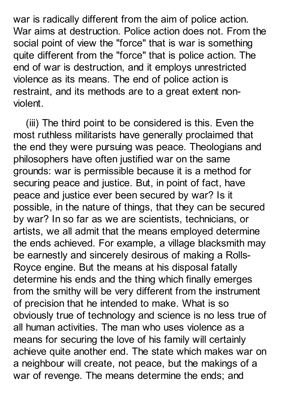war is radically different from the aim of police action. War aims at destruction. Police action does not. From the social point of view the "force" that is war is something quite different from the "force" that is police action. The end of war is destruction, and it employs unrestricted violence as its means. The end of police action is restraint, and its methods are to a great extent nonviolent.

(iii) The third point to be considered is this. Even the most ruthless militarists have generally proclaimed that the end they were pursuing was peace. Theologians and philosophers have often justified war on the same grounds: war is permissible because it is a method for securing peace and justice. But, in point of fact, have peace and justice ever been secured by war? Is it possible, in the nature of things, that they can be secured by war? In so far as we are scientists, technicians, or artists, we all admit that the means employed determine the ends achieved. For example, a village blacksmith may be earnestly and sincerely desirous of making a Rolls-Royce engine. But the means at his disposal fatally determine his ends and the thing which finally emerges from the smithy will be very different from the instrument of precision that he intended to make. What is so obviously true of technology and science is no less true of all human activities. The man who uses violence as a means for securing the love of his family will certainly achieve quite another end. The state which makes war on a neighbour will create, not peace, but the makings of a war of revenge. The means determine the ends; and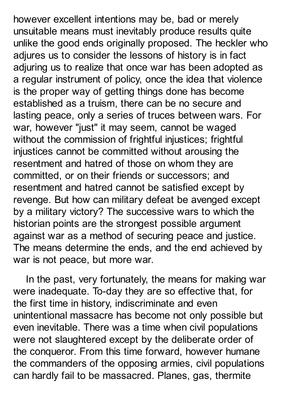however excellent intentions may be, bad or merely unsuitable means must inevitably produce results quite unlike the good ends originally proposed. The heckler who adjures us to consider the lessons of history is in fact adjuring us to realize that once war has been adopted as a regular instrument of policy, once the idea that violence is the proper way of getting things done has become established as a truism, there can be no secure and lasting peace, only a series of truces between wars. For war, however "just" it may seem, cannot be waged without the commission of frightful injustices; frightful injustices cannot be committed without arousing the resentment and hatred of those on whom they are committed, or on their friends or successors; and resentment and hatred cannot be satisfied except by revenge. But how can military defeat be avenged except by a military victory? The successive wars to which the historian points are the strongest possible argument against war as a method of securing peace and justice. The means determine the ends, and the end achieved by war is not peace, but more war.

In the past, very fortunately, the means for making war were inadequate. To-day they are so effective that, for the first time in history, indiscriminate and even unintentional massacre has become not only possible but even inevitable. There was a time when civil populations were not slaughtered except by the deliberate order of the conqueror. From this time forward, however humane the commanders of the opposing armies, civil populations can hardly fail to be massacred. Planes, gas, thermite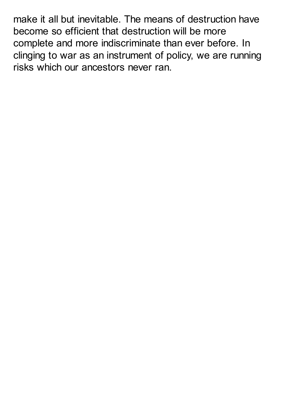make it all but inevitable. The means of destruction have become so efficient that destruction will be more complete and more indiscriminate than ever before. In clinging to war as an instrument of policy, we are running risks which our ancestors never ran.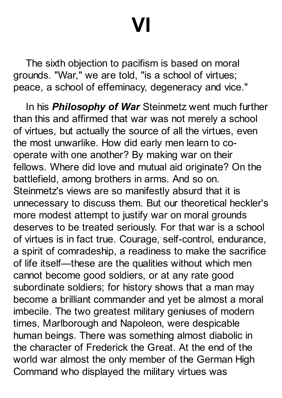# **VI**

The sixth objection to pacifism is based on moral grounds. "War," we are told, "is a school of virtues; peace, a school of effeminacy, degeneracy and vice."

In his *Philosophy of War* Steinmetz went much further than this and affirmed that war was not merely a school of virtues, but actually the source of all the virtues, even the most unwarlike. How did early men learn to cooperate with one another? By making war on their fellows. Where did love and mutual aid originate? On the battlefield, among brothers in arms. And so on. Steinmetz's views are so manifestly absurd that it is unnecessary to discuss them. But our theoretical heckler's more modest attempt to justify war on moral grounds deserves to be treated seriously. For that war is a school of virtues is in fact true. Courage, self-control, endurance, a spirit of comradeship, a readiness to make the sacrifice of life itself—these are the qualities without which men cannot become good soldiers, or at any rate good subordinate soldiers; for history shows that a man may become a brilliant commander and yet be almost a moral imbecile. The two greatest military geniuses of modern times, Marlborough and Napoleon, were despicable human beings. There was something almost diabolic in the character of Frederick the Great. At the end of the world war almost the only member of the German High Command who displayed the military virtues was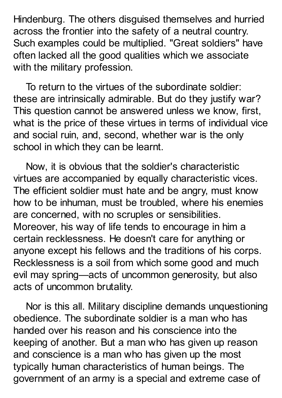Hindenburg. The others disguised themselves and hurried across the frontier into the safety of a neutral country. Such examples could be multiplied. "Great soldiers" have often lacked all the good qualities which we associate with the military profession.

To return to the virtues of the subordinate soldier: these are intrinsically admirable. But do they justify war? This question cannot be answered unless we know, first, what is the price of these virtues in terms of individual vice and social ruin, and, second, whether war is the only school in which they can be learnt.

Now, it is obvious that the soldier's characteristic virtues are accompanied by equally characteristic vices. The efficient soldier must hate and be angry, must know how to be inhuman, must be troubled, where his enemies are concerned, with no scruples or sensibilities. Moreover, his way of life tends to encourage in him a certain recklessness. He doesn't care for anything or anyone except his fellows and the traditions of his corps. Recklessness is a soil from which some good and much evil may spring—acts of uncommon generosity, but also acts of uncommon brutality.

Nor is this all. Military discipline demands unquestioning obedience. The subordinate soldier is a man who has handed over his reason and his conscience into the keeping of another. But a man who has given up reason and conscience is a man who has given up the most typically human characteristics of human beings. The government of an army is a special and extreme case of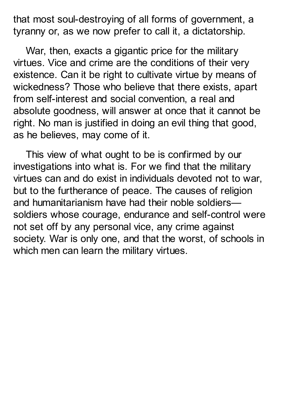that most soul-destroying of all forms of government, a tyranny or, as we now prefer to call it, a dictatorship.

War, then, exacts a gigantic price for the military virtues. Vice and crime are the conditions of their very existence. Can it be right to cultivate virtue by means of wickedness? Those who believe that there exists, apart from self-interest and social convention, a real and absolute goodness, will answer at once that it cannot be right. No man is justified in doing an evil thing that good, as he believes, may come of it.

This view of what ought to be is confirmed by our investigations into what is. For we find that the military virtues can and do exist in individuals devoted not to war, but to the furtherance of peace. The causes of religion and humanitarianism have had their noble soldiers soldiers whose courage, endurance and self-control were not set off by any personal vice, any crime against society. War is only one, and that the worst, of schools in which men can learn the military virtues.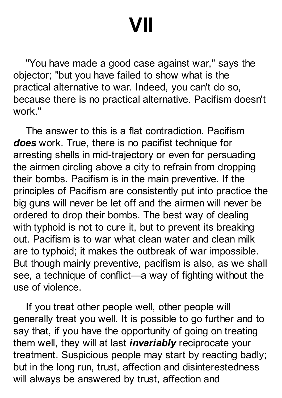# **VII**

"You have made a good case against war," says the objector; "but you have failed to show what is the practical alternative to war. Indeed, you can't do so, because there is no practical alternative. Pacifism doesn't work."

The answer to this is a flat contradiction. Pacifism *does* work. True, there is no pacifist technique for arresting shells in mid-trajectory or even for persuading the airmen circling above a city to refrain from dropping their bombs. Pacifism is in the main preventive. If the principles of Pacifism are consistently put into practice the big guns will never be let off and the airmen will never be ordered to drop their bombs. The best way of dealing with typhoid is not to cure it, but to prevent its breaking out. Pacifism is to war what clean water and clean milk are to typhoid; it makes the outbreak of war impossible. But though mainly preventive, pacifism is also, as we shall see, a technique of conflict—a way of fighting without the use of violence.

If you treat other people well, other people will generally treat you well. It is possible to go further and to say that, if you have the opportunity of going on treating them well, they will at last *invariably* reciprocate your treatment. Suspicious people may start by reacting badly; but in the long run, trust, affection and disinterestedness will always be answered by trust, affection and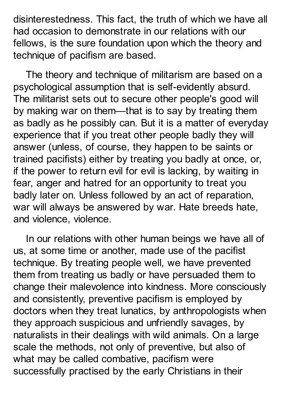disinterestedness. This fact, the truth of which we have all had occasion to demonstrate in our relations with our fellows, is the sure foundation upon which the theory and technique of pacifism are based.

The theory and technique of militarism are based on a psychological assumption that is self-evidently absurd. The militarist sets out to secure other people's good will by making war on them—that is to say by treating them as badly as he possibly can. But it is a matter of everyday experience that if you treat other people badly they will answer (unless, of course, they happen to be saints or trained pacifists) either by treating you badly at once, or, if the power to return evil for evil is lacking, by waiting in fear, anger and hatred for an opportunity to treat you badly later on. Unless followed by an act of reparation, war will always be answered by war. Hate breeds hate, and violence, violence.

In our relations with other human beings we have all of us, at some time or another, made use of the pacifist technique. By treating people well, we have prevented them from treating us badly or have persuaded them to change their malevolence into kindness. More consciously and consistently, preventive pacifism is employed by doctors when they treat lunatics, by anthropologists when they approach suspicious and unfriendly savages, by naturalists in their dealings with wild animals. On a large scale the methods, not only of preventive, but also of what may be called combative, pacifism were successfully practised by the early Christians in their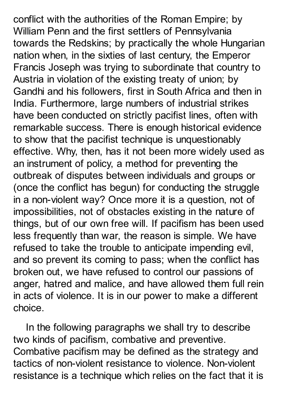conflict with the authorities of the Roman Empire; by William Penn and the first settlers of Pennsylvania towards the Redskins; by practically the whole Hungarian nation when, in the sixties of last century, the Emperor Francis Joseph was trying to subordinate that country to Austria in violation of the existing treaty of union; by Gandhi and his followers, first in South Africa and then in India. Furthermore, large numbers of industrial strikes have been conducted on strictly pacifist lines, often with remarkable success. There is enough historical evidence to show that the pacifist technique is unquestionably effective. Why, then, has it not been more widely used as an instrument of policy, a method for preventing the outbreak of disputes between individuals and groups or (once the conflict has begun) for conducting the struggle in a non-violent way? Once more it is a question, not of impossibilities, not of obstacles existing in the nature of things, but of our own free will. If pacifism has been used less frequently than war, the reason is simple. We have refused to take the trouble to anticipate impending evil, and so prevent its coming to pass; when the conflict has broken out, we have refused to control our passions of anger, hatred and malice, and have allowed them full rein in acts of violence. It is in our power to make a different choice.

In the following paragraphs we shall try to describe two kinds of pacifism, combative and preventive. Combative pacifism may be defined as the strategy and tactics of non-violent resistance to violence. Non-violent resistance is a technique which relies on the fact that it is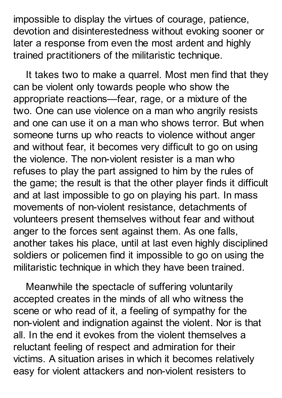impossible to display the virtues of courage, patience, devotion and disinterestedness without evoking sooner or later a response from even the most ardent and highly trained practitioners of the militaristic technique.

It takes two to make a quarrel. Most men find that they can be violent only towards people who show the appropriate reactions—fear, rage, or a mixture of the two. One can use violence on a man who angrily resists and one can use it on a man who shows terror. But when someone turns up who reacts to violence without anger and without fear, it becomes very difficult to go on using the violence. The non-violent resister is a man who refuses to play the part assigned to him by the rules of the game; the result is that the other player finds it difficult and at last impossible to go on playing his part. In mass movements of non-violent resistance, detachments of volunteers present themselves without fear and without anger to the forces sent against them. As one falls, another takes his place, until at last even highly disciplined soldiers or policemen find it impossible to go on using the militaristic technique in which they have been trained.

Meanwhile the spectacle of suffering voluntarily accepted creates in the minds of all who witness the scene or who read of it, a feeling of sympathy for the non-violent and indignation against the violent. Nor is that all. In the end it evokes from the violent themselves a reluctant feeling of respect and admiration for their victims. A situation arises in which it becomes relatively easy for violent attackers and non-violent resisters to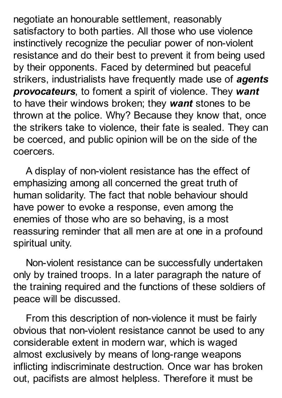negotiate an honourable settlement, reasonably satisfactory to both parties. All those who use violence instinctively recognize the peculiar power of non-violent resistance and do their best to prevent it from being used by their opponents. Faced by determined but peaceful strikers, industrialists have frequently made use of *agents provocateurs*, to foment a spirit of violence. They *want* to have their windows broken; they *want* stones to be thrown at the police. Why? Because they know that, once the strikers take to violence, their fate is sealed. They can be coerced, and public opinion will be on the side of the coercers.

A display of non-violent resistance has the effect of emphasizing among all concerned the great truth of human solidarity. The fact that noble behaviour should have power to evoke a response, even among the enemies of those who are so behaving, is a most reassuring reminder that all men are at one in a profound spiritual unity.

Non-violent resistance can be successfully undertaken only by trained troops. In a later paragraph the nature of the training required and the functions of these soldiers of peace will be discussed.

From this description of non-violence it must be fairly obvious that non-violent resistance cannot be used to any considerable extent in modern war, which is waged almost exclusively by means of long-range weapons inflicting indiscriminate destruction. Once war has broken out, pacifists are almost helpless. Therefore it must be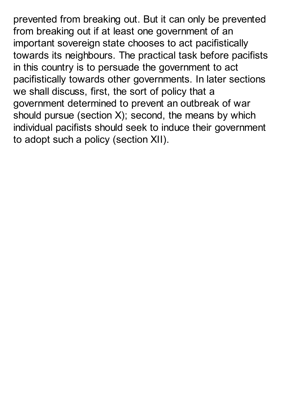prevented from breaking out. But it can only be prevented from breaking out if at least one government of an important sovereign state chooses to act pacifistically towards its neighbours. The practical task before pacifists in this country is to persuade the government to act pacifistically towards other governments. In later sections we shall discuss, first, the sort of policy that a government determined to prevent an outbreak of war should pursue (section X); second, the means by which individual pacifists should seek to induce their government to adopt such a policy (section XII).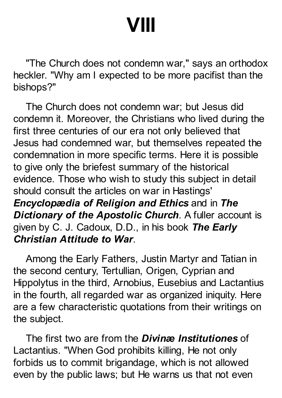## **VIII**

"The Church does not condemn war," says an orthodox heckler. "Why am I expected to be more pacifist than the bishops?"

The Church does not condemn war; but Jesus did condemn it. Moreover, the Christians who lived during the first three centuries of our era not only believed that Jesus had condemned war, but themselves repeated the condemnation in more specific terms. Here it is possible to give only the briefest summary of the historical evidence. Those who wish to study this subject in detail should consult the articles on war in Hastings' *Encyclopædia of Religion and Ethics* and in *The Dictionary of the Apostolic Church*. A fuller account is given by C. J. Cadoux, D.D., in his book *The Early Christian Attitude to War*.

Among the Early Fathers, Justin Martyr and Tatian in the second century, Tertullian, Origen, Cyprian and Hippolytus in the third, Arnobius, Eusebius and Lactantius in the fourth, all regarded war as organized iniquity. Here are a few characteristic quotations from their writings on the subject.

The first two are from the *Divinæ Institutiones* of Lactantius. "When God prohibits killing, He not only forbids us to commit brigandage, which is not allowed even by the public laws; but He warns us that not even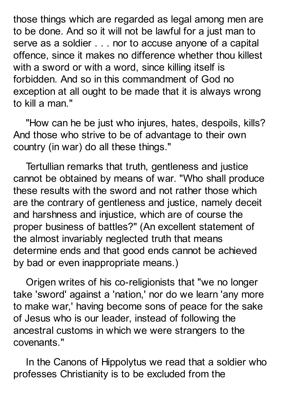those things which are regarded as legal among men are to be done. And so it will not be lawful for a just man to serve as a soldier . . . nor to accuse anyone of a capital offence, since it makes no difference whether thou killest with a sword or with a word, since killing itself is forbidden. And so in this commandment of God no exception at all ought to be made that it is always wrong to kill a man."

"How can he be just who injures, hates, despoils, kills? And those who strive to be of advantage to their own country (in war) do all these things."

Tertullian remarks that truth, gentleness and justice cannot be obtained by means of war. "Who shall produce these results with the sword and not rather those which are the contrary of gentleness and justice, namely deceit and harshness and injustice, which are of course the proper business of battles?" (An excellent statement of the almost invariably neglected truth that means determine ends and that good ends cannot be achieved by bad or even inappropriate means.)

Origen writes of his co-religionists that "we no longer take 'sword' against a 'nation,' nor do we learn 'any more to make war,' having become sons of peace for the sake of Jesus who is our leader, instead of following the ancestral customs in which we were strangers to the covenants."

In the Canons of Hippolytus we read that a soldier who professes Christianity is to be excluded from the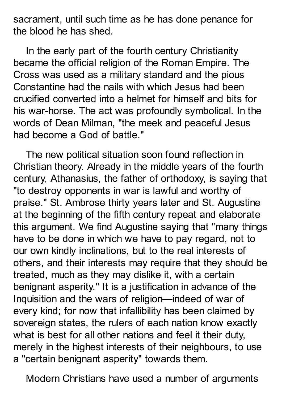sacrament, until such time as he has done penance for the blood he has shed.

In the early part of the fourth century Christianity became the official religion of the Roman Empire. The Cross was used as a military standard and the pious Constantine had the nails with which Jesus had been crucified converted into a helmet for himself and bits for his war-horse. The act was profoundly symbolical. In the words of Dean Milman, "the meek and peaceful Jesus had become a God of battle."

The new political situation soon found reflection in Christian theory. Already in the middle years of the fourth century, Athanasius, the father of orthodoxy, is saying that "to destroy opponents in war is lawful and worthy of praise." St. Ambrose thirty years later and St. Augustine at the beginning of the fifth century repeat and elaborate this argument. We find Augustine saying that "many things have to be done in which we have to pay regard, not to our own kindly inclinations, but to the real interests of others, and their interests may require that they should be treated, much as they may dislike it, with a certain benignant asperity." It is a justification in advance of the Inquisition and the wars of religion—indeed of war of every kind; for now that infallibility has been claimed by sovereign states, the rulers of each nation know exactly what is best for all other nations and feel it their duty, merely in the highest interests of their neighbours, to use a "certain benignant asperity" towards them.

Modern Christians have used a number of arguments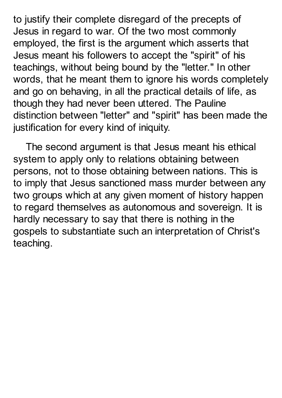to justify their complete disregard of the precepts of Jesus in regard to war. Of the two most commonly employed, the first is the argument which asserts that Jesus meant his followers to accept the "spirit" of his teachings, without being bound by the "letter." In other words, that he meant them to ignore his words completely and go on behaving, in all the practical details of life, as though they had never been uttered. The Pauline distinction between "letter" and "spirit" has been made the justification for every kind of iniquity.

The second argument is that Jesus meant his ethical system to apply only to relations obtaining between persons, not to those obtaining between nations. This is to imply that Jesus sanctioned mass murder between any two groups which at any given moment of history happen to regard themselves as autonomous and sovereign. It is hardly necessary to say that there is nothing in the gospels to substantiate such an interpretation of Christ's teaching.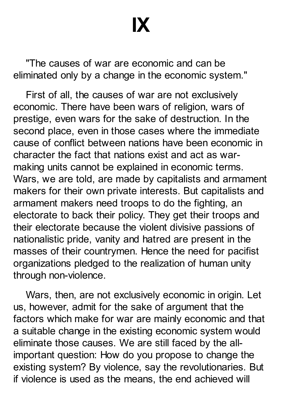#### **IX**

"The causes of war are economic and can be eliminated only by a change in the economic system."

First of all, the causes of war are not exclusively economic. There have been wars of religion, wars of prestige, even wars for the sake of destruction. In the second place, even in those cases where the immediate cause of conflict between nations have been economic in character the fact that nations exist and act as warmaking units cannot be explained in economic terms. Wars, we are told, are made by capitalists and armament makers for their own private interests. But capitalists and armament makers need troops to do the fighting, an electorate to back their policy. They get their troops and their electorate because the violent divisive passions of nationalistic pride, vanity and hatred are present in the masses of their countrymen. Hence the need for pacifist organizations pledged to the realization of human unity through non-violence.

Wars, then, are not exclusively economic in origin. Let us, however, admit for the sake of argument that the factors which make for war are mainly economic and that a suitable change in the existing economic system would eliminate those causes. We are still faced by the allimportant question: How do you propose to change the existing system? By violence, say the revolutionaries. But if violence is used as the means, the end achieved will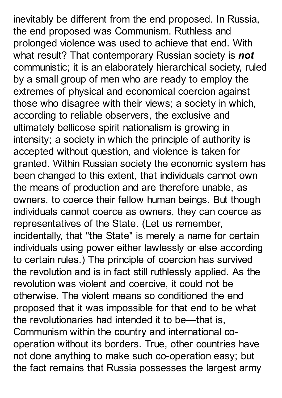inevitably be different from the end proposed. In Russia, the end proposed was Communism. Ruthless and prolonged violence was used to achieve that end. With what result? That contemporary Russian society is *not* communistic; it is an elaborately hierarchical society, ruled by a small group of men who are ready to employ the extremes of physical and economical coercion against those who disagree with their views; a society in which, according to reliable observers, the exclusive and ultimately bellicose spirit nationalism is growing in intensity; a society in which the principle of authority is accepted without question, and violence is taken for granted. Within Russian society the economic system has been changed to this extent, that individuals cannot own the means of production and are therefore unable, as owners, to coerce their fellow human beings. But though individuals cannot coerce as owners, they can coerce as representatives of the State. (Let us remember, incidentally, that "the State" is merely a name for certain individuals using power either lawlessly or else according to certain rules.) The principle of coercion has survived the revolution and is in fact still ruthlessly applied. As the revolution was violent and coercive, it could not be otherwise. The violent means so conditioned the end proposed that it was impossible for that end to be what the revolutionaries had intended it to be—that is, Communism within the country and international cooperation without its borders. True, other countries have not done anything to make such co-operation easy; but the fact remains that Russia possesses the largest army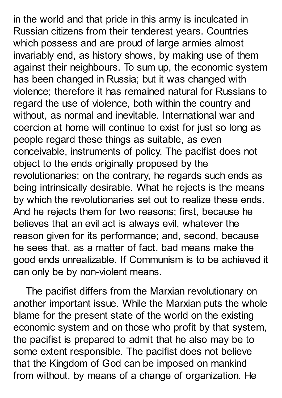in the world and that pride in this army is inculcated in Russian citizens from their tenderest years. Countries which possess and are proud of large armies almost invariably end, as history shows, by making use of them against their neighbours. To sum up, the economic system has been changed in Russia; but it was changed with violence; therefore it has remained natural for Russians to regard the use of violence, both within the country and without, as normal and inevitable. International war and coercion at home will continue to exist for just so long as people regard these things as suitable, as even conceivable, instruments of policy. The pacifist does not object to the ends originally proposed by the revolutionaries; on the contrary, he regards such ends as being intrinsically desirable. What he rejects is the means by which the revolutionaries set out to realize these ends. And he rejects them for two reasons; first, because he believes that an evil act is always evil, whatever the reason given for its performance; and, second, because he sees that, as a matter of fact, bad means make the good ends unrealizable. If Communism is to be achieved it can only be by non-violent means.

The pacifist differs from the Marxian revolutionary on another important issue. While the Marxian puts the whole blame for the present state of the world on the existing economic system and on those who profit by that system, the pacifist is prepared to admit that he also may be to some extent responsible. The pacifist does not believe that the Kingdom of God can be imposed on mankind from without, by means of a change of organization. He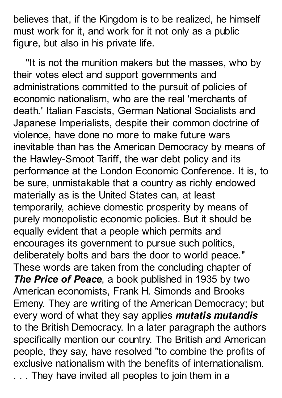believes that, if the Kingdom is to be realized, he himself must work for it, and work for it not only as a public figure, but also in his private life.

"It is not the munition makers but the masses, who by their votes elect and support governments and administrations committed to the pursuit of policies of economic nationalism, who are the real 'merchants of death.' Italian Fascists, German National Socialists and Japanese Imperialists, despite their common doctrine of violence, have done no more to make future wars inevitable than has the American Democracy by means of the Hawley-Smoot Tariff, the war debt policy and its performance at the London Economic Conference. It is, to be sure, unmistakable that a country as richly endowed materially as is the United States can, at least temporarily, achieve domestic prosperity by means of purely monopolistic economic policies. But it should be equally evident that a people which permits and encourages its government to pursue such politics, deliberately bolts and bars the door to world peace." These words are taken from the concluding chapter of *The Price of Peace*, a book published in 1935 by two American economists, Frank H. Simonds and Brooks Emeny. They are writing of the American Democracy; but every word of what they say applies *mutatis mutandis* to the British Democracy. In a later paragraph the authors specifically mention our country. The British and American people, they say, have resolved "to combine the profits of exclusive nationalism with the benefits of internationalism. . . . They have invited all peoples to join them in a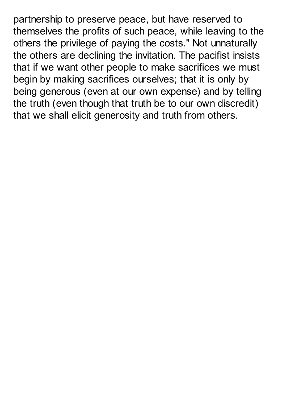partnership to preserve peace, but have reserved to themselves the profits of such peace, while leaving to the others the privilege of paying the costs." Not unnaturally the others are declining the invitation. The pacifist insists that if we want other people to make sacrifices we must begin by making sacrifices ourselves; that it is only by being generous (even at our own expense) and by telling the truth (even though that truth be to our own discredit) that we shall elicit generosity and truth from others.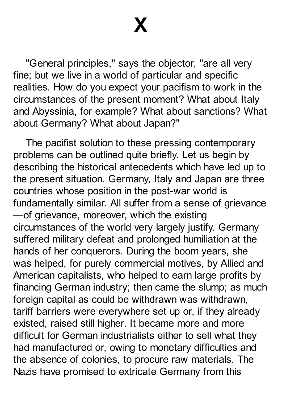## **X**

"General principles," says the objector, "are all very fine; but we live in a world of particular and specific realities. How do you expect your pacifism to work in the circumstances of the present moment? What about Italy and Abyssinia, for example? What about sanctions? What about Germany? What about Japan?"

The pacifist solution to these pressing contemporary problems can be outlined quite briefly. Let us begin by describing the historical antecedents which have led up to the present situation. Germany, Italy and Japan are three countries whose position in the post-war world is fundamentally similar. All suffer from a sense of grievance —of grievance, moreover, which the existing circumstances of the world very largely justify. Germany suffered military defeat and prolonged humiliation at the hands of her conquerors. During the boom years, she was helped, for purely commercial motives, by Allied and American capitalists, who helped to earn large profits by financing German industry; then came the slump; as much foreign capital as could be withdrawn was withdrawn, tariff barriers were everywhere set up or, if they already existed, raised still higher. It became more and more difficult for German industrialists either to sell what they had manufactured or, owing to monetary difficulties and the absence of colonies, to procure raw materials. The Nazis have promised to extricate Germany from this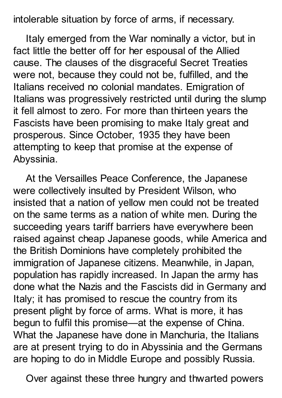intolerable situation by force of arms, if necessary.

Italy emerged from the War nominally a victor, but in fact little the better off for her espousal of the Allied cause. The clauses of the disgraceful Secret Treaties were not, because they could not be, fulfilled, and the Italians received no colonial mandates. Emigration of Italians was progressively restricted until during the slump it fell almost to zero. For more than thirteen years the Fascists have been promising to make Italy great and prosperous. Since October, 1935 they have been attempting to keep that promise at the expense of Abyssinia.

At the Versailles Peace Conference, the Japanese were collectively insulted by President Wilson, who insisted that a nation of yellow men could not be treated on the same terms as a nation of white men. During the succeeding years tariff barriers have everywhere been raised against cheap Japanese goods, while America and the British Dominions have completely prohibited the immigration of Japanese citizens. Meanwhile, in Japan, population has rapidly increased. In Japan the army has done what the Nazis and the Fascists did in Germany and Italy; it has promised to rescue the country from its present plight by force of arms. What is more, it has begun to fulfil this promise—at the expense of China. What the Japanese have done in Manchuria, the Italians are at present trying to do in Abyssinia and the Germans are hoping to do in Middle Europe and possibly Russia.

Over against these three hungry and thwarted powers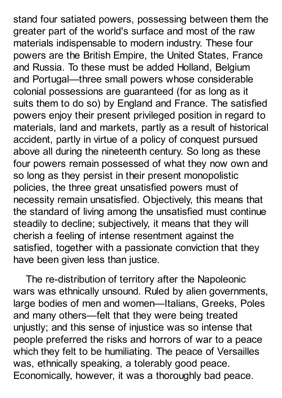stand four satiated powers, possessing between them the greater part of the world's surface and most of the raw materials indispensable to modern industry. These four powers are the British Empire, the United States, France and Russia. To these must be added Holland, Belgium and Portugal—three small powers whose considerable colonial possessions are guaranteed (for as long as it suits them to do so) by England and France. The satisfied powers enjoy their present privileged position in regard to materials, land and markets, partly as a result of historical accident, partly in virtue of a policy of conquest pursued above all during the nineteenth century. So long as these four powers remain possessed of what they now own and so long as they persist in their present monopolistic policies, the three great unsatisfied powers must of necessity remain unsatisfied. Objectively, this means that the standard of living among the unsatisfied must continue steadily to decline; subjectively, it means that they will cherish a feeling of intense resentment against the satisfied, together with a passionate conviction that they have been given less than justice.

The re-distribution of territory after the Napoleonic wars was ethnically unsound. Ruled by alien governments, large bodies of men and women—Italians, Greeks, Poles and many others—felt that they were being treated unjustly; and this sense of injustice was so intense that people preferred the risks and horrors of war to a peace which they felt to be humiliating. The peace of Versailles was, ethnically speaking, a tolerably good peace. Economically, however, it was a thoroughly bad peace.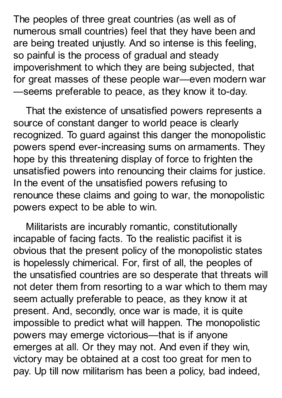The peoples of three great countries (as well as of numerous small countries) feel that they have been and are being treated unjustly. And so intense is this feeling, so painful is the process of gradual and steady impoverishment to which they are being subjected, that for great masses of these people war—even modern war —seems preferable to peace, as they know it to-day.

That the existence of unsatisfied powers represents a source of constant danger to world peace is clearly recognized. To guard against this danger the monopolistic powers spend ever-increasing sums on armaments. They hope by this threatening display of force to frighten the unsatisfied powers into renouncing their claims for justice. In the event of the unsatisfied powers refusing to renounce these claims and going to war, the monopolistic powers expect to be able to win.

Militarists are incurably romantic, constitutionally incapable of facing facts. To the realistic pacifist it is obvious that the present policy of the monopolistic states is hopelessly chimerical. For, first of all, the peoples of the unsatisfied countries are so desperate that threats will not deter them from resorting to a war which to them may seem actually preferable to peace, as they know it at present. And, secondly, once war is made, it is quite impossible to predict what will happen. The monopolistic powers may emerge victorious—that is if anyone emerges at all. Or they may not. And even if they win, victory may be obtained at a cost too great for men to pay. Up till now militarism has been a policy, bad indeed,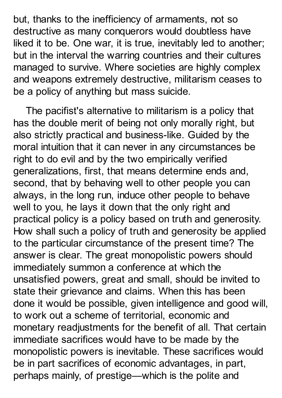but, thanks to the inefficiency of armaments, not so destructive as many conquerors would doubtless have liked it to be. One war, it is true, inevitably led to another; but in the interval the warring countries and their cultures managed to survive. Where societies are highly complex and weapons extremely destructive, militarism ceases to be a policy of anything but mass suicide.

The pacifist's alternative to militarism is a policy that has the double merit of being not only morally right, but also strictly practical and business-like. Guided by the moral intuition that it can never in any circumstances be right to do evil and by the two empirically verified generalizations, first, that means determine ends and, second, that by behaving well to other people you can always, in the long run, induce other people to behave well to you, he lays it down that the only right and practical policy is a policy based on truth and generosity. How shall such a policy of truth and generosity be applied to the particular circumstance of the present time? The answer is clear. The great monopolistic powers should immediately summon a conference at which the unsatisfied powers, great and small, should be invited to state their grievance and claims. When this has been done it would be possible, given intelligence and good will, to work out a scheme of territorial, economic and monetary readjustments for the benefit of all. That certain immediate sacrifices would have to be made by the monopolistic powers is inevitable. These sacrifices would be in part sacrifices of economic advantages, in part, perhaps mainly, of prestige—which is the polite and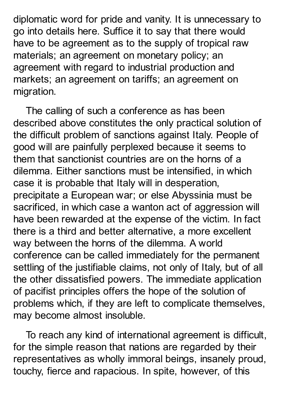diplomatic word for pride and vanity. It is unnecessary to go into details here. Suffice it to say that there would have to be agreement as to the supply of tropical raw materials; an agreement on monetary policy; an agreement with regard to industrial production and markets; an agreement on tariffs; an agreement on migration.

The calling of such a conference as has been described above constitutes the only practical solution of the difficult problem of sanctions against Italy. People of good will are painfully perplexed because it seems to them that sanctionist countries are on the horns of a dilemma. Either sanctions must be intensified, in which case it is probable that Italy will in desperation, precipitate a European war; or else Abyssinia must be sacrificed, in which case a wanton act of aggression will have been rewarded at the expense of the victim. In fact there is a third and better alternative, a more excellent way between the horns of the dilemma. A world conference can be called immediately for the permanent settling of the justifiable claims, not only of Italy, but of all the other dissatisfied powers. The immediate application of pacifist principles offers the hope of the solution of problems which, if they are left to complicate themselves, may become almost insoluble.

To reach any kind of international agreement is difficult, for the simple reason that nations are regarded by their representatives as wholly immoral beings, insanely proud, touchy, fierce and rapacious. In spite, however, of this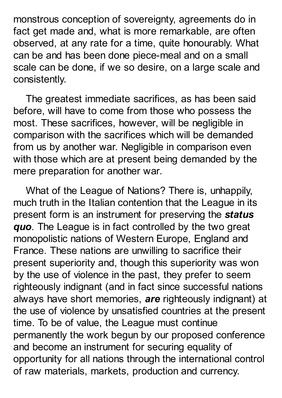monstrous conception of sovereignty, agreements do in fact get made and, what is more remarkable, are often observed, at any rate for a time, quite honourably. What can be and has been done piece-meal and on a small scale can be done, if we so desire, on a large scale and consistently.

The greatest immediate sacrifices, as has been said before, will have to come from those who possess the most. These sacrifices, however, will be negligible in comparison with the sacrifices which will be demanded from us by another war. Negligible in comparison even with those which are at present being demanded by the mere preparation for another war.

What of the League of Nations? There is, unhappily, much truth in the Italian contention that the League in its present form is an instrument for preserving the *status quo*. The League is in fact controlled by the two great monopolistic nations of Western Europe, England and France. These nations are unwilling to sacrifice their present superiority and, though this superiority was won by the use of violence in the past, they prefer to seem righteously indignant (and in fact since successful nations always have short memories, *are* righteously indignant) at the use of violence by unsatisfied countries at the present time. To be of value, the League must continue permanently the work begun by our proposed conference and become an instrument for securing equality of opportunity for all nations through the international control of raw materials, markets, production and currency.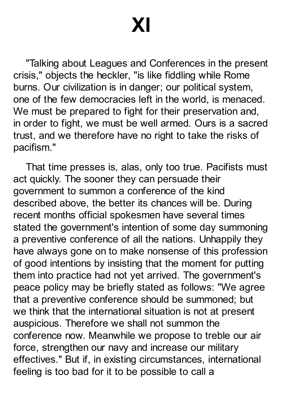## **XI**

"Talking about Leagues and Conferences in the present crisis," objects the heckler, "is like fiddling while Rome burns. Our civilization is in danger; our political system, one of the few democracies left in the world, is menaced. We must be prepared to fight for their preservation and, in order to fight, we must be well armed. Ours is a sacred trust, and we therefore have no right to take the risks of pacifism."

That time presses is, alas, only too true. Pacifists must act quickly. The sooner they can persuade their government to summon a conference of the kind described above, the better its chances will be. During recent months official spokesmen have several times stated the government's intention of some day summoning a preventive conference of all the nations. Unhappily they have always gone on to make nonsense of this profession of good intentions by insisting that the moment for putting them into practice had not yet arrived. The government's peace policy may be briefly stated as follows: "We agree that a preventive conference should be summoned; but we think that the international situation is not at present auspicious. Therefore we shall not summon the conference now. Meanwhile we propose to treble our air force, strengthen our navy and increase our military effectives." But if, in existing circumstances, international feeling is too bad for it to be possible to call a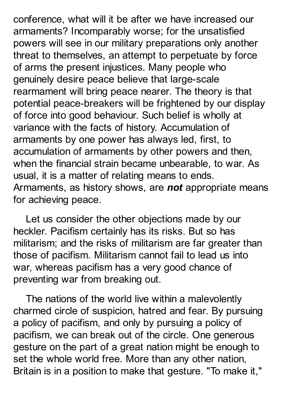conference, what will it be after we have increased our armaments? Incomparably worse; for the unsatisfied powers will see in our military preparations only another threat to themselves, an attempt to perpetuate by force of arms the present injustices. Many people who genuinely desire peace believe that large-scale rearmament will bring peace nearer. The theory is that potential peace-breakers will be frightened by our display of force into good behaviour. Such belief is wholly at variance with the facts of history. Accumulation of armaments by one power has always led, first, to accumulation of armaments by other powers and then, when the financial strain became unbearable, to war. As usual, it is a matter of relating means to ends. Armaments, as history shows, are *not* appropriate means for achieving peace.

Let us consider the other objections made by our heckler. Pacifism certainly has its risks. But so has militarism; and the risks of militarism are far greater than those of pacifism. Militarism cannot fail to lead us into war, whereas pacifism has a very good chance of preventing war from breaking out.

The nations of the world live within a malevolently charmed circle of suspicion, hatred and fear. By pursuing a policy of pacifism, and only by pursuing a policy of pacifism, we can break out of the circle. One generous gesture on the part of a great nation might be enough to set the whole world free. More than any other nation, Britain is in a position to make that gesture. "To make it,"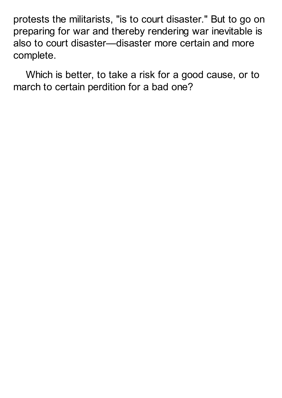protests the militarists, "is to court disaster." But to go on preparing for war and thereby rendering war inevitable is also to court disaster—disaster more certain and more complete.

Which is better, to take a risk for a good cause, or to march to certain perdition for a bad one?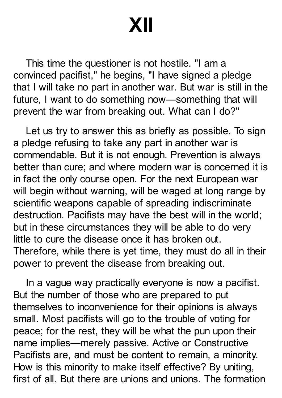## **XII**

This time the questioner is not hostile. "I am a convinced pacifist," he begins, "I have signed a pledge that I will take no part in another war. But war is still in the future, I want to do something now—something that will prevent the war from breaking out. What can I do?"

Let us try to answer this as briefly as possible. To sign a pledge refusing to take any part in another war is commendable. But it is not enough. Prevention is always better than cure; and where modern war is concerned it is in fact the only course open. For the next European war will begin without warning, will be waged at long range by scientific weapons capable of spreading indiscriminate destruction. Pacifists may have the best will in the world; but in these circumstances they will be able to do very little to cure the disease once it has broken out. Therefore, while there is yet time, they must do all in their power to prevent the disease from breaking out.

In a vague way practically everyone is now a pacifist. But the number of those who are prepared to put themselves to inconvenience for their opinions is always small. Most pacifists will go to the trouble of voting for peace; for the rest, they will be what the pun upon their name implies—merely passive. Active or Constructive Pacifists are, and must be content to remain, a minority. How is this minority to make itself effective? By uniting, first of all. But there are unions and unions. The formation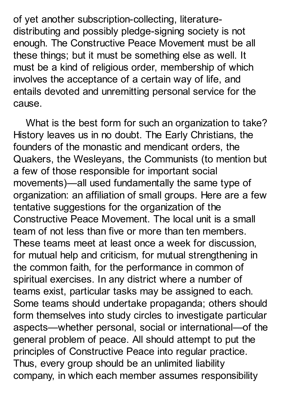of yet another subscription-collecting, literaturedistributing and possibly pledge-signing society is not enough. The Constructive Peace Movement must be all these things; but it must be something else as well. It must be a kind of religious order, membership of which involves the acceptance of a certain way of life, and entails devoted and unremitting personal service for the cause.

What is the best form for such an organization to take? History leaves us in no doubt. The Early Christians, the founders of the monastic and mendicant orders, the Quakers, the Wesleyans, the Communists (to mention but a few of those responsible for important social movements)—all used fundamentally the same type of organization: an affiliation of small groups. Here are a few tentative suggestions for the organization of the Constructive Peace Movement. The local unit is a small team of not less than five or more than ten members. These teams meet at least once a week for discussion, for mutual help and criticism, for mutual strengthening in the common faith, for the performance in common of spiritual exercises. In any district where a number of teams exist, particular tasks may be assigned to each. Some teams should undertake propaganda; others should form themselves into study circles to investigate particular aspects—whether personal, social or international—of the general problem of peace. All should attempt to put the principles of Constructive Peace into regular practice. Thus, every group should be an unlimited liability company, in which each member assumes responsibility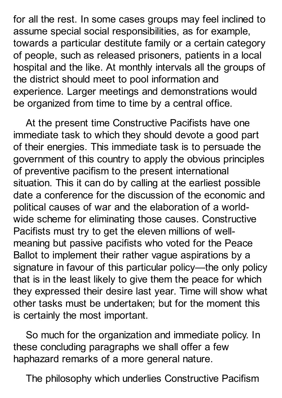for all the rest. In some cases groups may feel inclined to assume special social responsibilities, as for example, towards a particular destitute family or a certain category of people, such as released prisoners, patients in a local hospital and the like. At monthly intervals all the groups of the district should meet to pool information and experience. Larger meetings and demonstrations would be organized from time to time by a central office.

At the present time Constructive Pacifists have one immediate task to which they should devote a good part of their energies. This immediate task is to persuade the government of this country to apply the obvious principles of preventive pacifism to the present international situation. This it can do by calling at the earliest possible date a conference for the discussion of the economic and political causes of war and the elaboration of a worldwide scheme for eliminating those causes. Constructive Pacifists must try to get the eleven millions of wellmeaning but passive pacifists who voted for the Peace Ballot to implement their rather vague aspirations by a signature in favour of this particular policy—the only policy that is in the least likely to give them the peace for which they expressed their desire last year. Time will show what other tasks must be undertaken; but for the moment this is certainly the most important.

So much for the organization and immediate policy. In these concluding paragraphs we shall offer a few haphazard remarks of a more general nature.

The philosophy which underlies Constructive Pacifism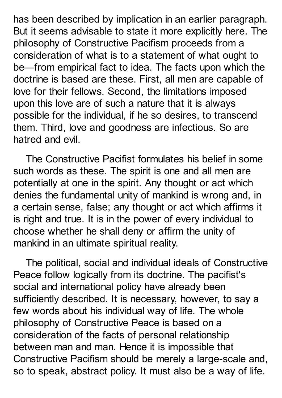has been described by implication in an earlier paragraph. But it seems advisable to state it more explicitly here. The philosophy of Constructive Pacifism proceeds from a consideration of what is to a statement of what ought to be—from empirical fact to idea. The facts upon which the doctrine is based are these. First, all men are capable of love for their fellows. Second, the limitations imposed upon this love are of such a nature that it is always possible for the individual, if he so desires, to transcend them. Third, love and goodness are infectious. So are hatred and evil.

The Constructive Pacifist formulates his belief in some such words as these. The spirit is one and all men are potentially at one in the spirit. Any thought or act which denies the fundamental unity of mankind is wrong and, in a certain sense, false; any thought or act which affirms it is right and true. It is in the power of every individual to choose whether he shall deny or affirm the unity of mankind in an ultimate spiritual reality.

The political, social and individual ideals of Constructive Peace follow logically from its doctrine. The pacifist's social and international policy have already been sufficiently described. It is necessary, however, to say a few words about his individual way of life. The whole philosophy of Constructive Peace is based on a consideration of the facts of personal relationship between man and man. Hence it is impossible that Constructive Pacifism should be merely a large-scale and, so to speak, abstract policy. It must also be a way of life.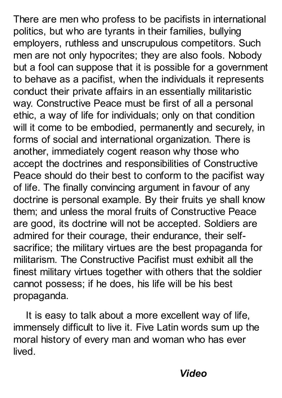There are men who profess to be pacifists in international politics, but who are tyrants in their families, bullying employers, ruthless and unscrupulous competitors. Such men are not only hypocrites; they are also fools. Nobody but a fool can suppose that it is possible for a government to behave as a pacifist, when the individuals it represents conduct their private affairs in an essentially militaristic way. Constructive Peace must be first of all a personal ethic, a way of life for individuals; only on that condition will it come to be embodied, permanently and securely, in forms of social and international organization. There is another, immediately cogent reason why those who accept the doctrines and responsibilities of Constructive Peace should do their best to conform to the pacifist way of life. The finally convincing argument in favour of any doctrine is personal example. By their fruits ye shall know them; and unless the moral fruits of Constructive Peace are good, its doctrine will not be accepted. Soldiers are admired for their courage, their endurance, their selfsacrifice; the military virtues are the best propaganda for militarism. The Constructive Pacifist must exhibit all the finest military virtues together with others that the soldier cannot possess; if he does, his life will be his best propaganda.

It is easy to talk about a more excellent way of life, immensely difficult to live it. Five Latin words sum up the moral history of every man and woman who has ever lived.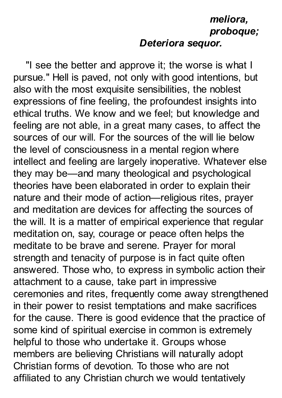#### *meliora, proboque; Deteriora sequor.*

"I see the better and approve it; the worse is what I pursue." Hell is paved, not only with good intentions, but also with the most exquisite sensibilities, the noblest expressions of fine feeling, the profoundest insights into ethical truths. We know and we feel; but knowledge and feeling are not able, in a great many cases, to affect the sources of our will. For the sources of the will lie below the level of consciousness in a mental region where intellect and feeling are largely inoperative. Whatever else they may be—and many theological and psychological theories have been elaborated in order to explain their nature and their mode of action—religious rites, prayer and meditation are devices for affecting the sources of the will. It is a matter of empirical experience that regular meditation on, say, courage or peace often helps the meditate to be brave and serene. Prayer for moral strength and tenacity of purpose is in fact quite often answered. Those who, to express in symbolic action their attachment to a cause, take part in impressive ceremonies and rites, frequently come away strengthened in their power to resist temptations and make sacrifices for the cause. There is good evidence that the practice of some kind of spiritual exercise in common is extremely helpful to those who undertake it. Groups whose members are believing Christians will naturally adopt Christian forms of devotion. To those who are not affiliated to any Christian church we would tentatively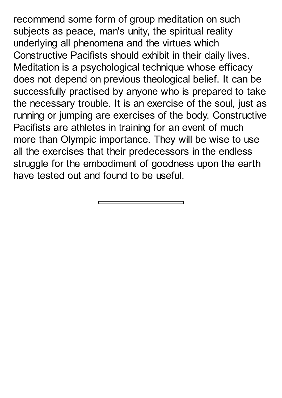recommend some form of group meditation on such subjects as peace, man's unity, the spiritual reality underlying all phenomena and the virtues which Constructive Pacifists should exhibit in their daily lives. Meditation is a psychological technique whose efficacy does not depend on previous theological belief. It can be successfully practised by anyone who is prepared to take the necessary trouble. It is an exercise of the soul, just as running or jumping are exercises of the body. Constructive Pacifists are athletes in training for an event of much more than Olympic importance. They will be wise to use all the exercises that their predecessors in the endless struggle for the embodiment of goodness upon the earth have tested out and found to be useful.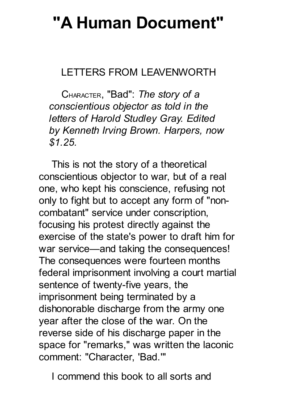#### **"A Human Document"**

LETTERS FROM LEAVENWORTH

CHARACTER, "Bad": *The story of a conscientious objector as told in the letters of Harold Studley Gray. Edited by Kenneth Irving Brown. Harpers, now \$1.25.*

This is not the story of a theoretical conscientious objector to war, but of a real one, who kept his conscience, refusing not only to fight but to accept any form of "noncombatant" service under conscription, focusing his protest directly against the exercise of the state's power to draft him for war service—and taking the consequences! The consequences were fourteen months federal imprisonment involving a court martial sentence of twenty-five years, the imprisonment being terminated by a dishonorable discharge from the army one year after the close of the war. On the reverse side of his discharge paper in the space for "remarks," was written the laconic comment: "Character, 'Bad.'"

I commend this book to all sorts and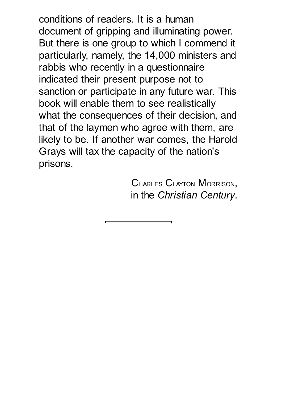conditions of readers. It is a human document of gripping and illuminating power. But there is one group to which I commend it particularly, namely, the 14,000 ministers and rabbis who recently in a questionnaire indicated their present purpose not to sanction or participate in any future war. This book will enable them to see realistically what the consequences of their decision, and that of the laymen who agree with them, are likely to be. If another war comes, the Harold Grays will tax the capacity of the nation's prisons.

> CHARLES CLAYTON MORRISON. in the *Christian Century*.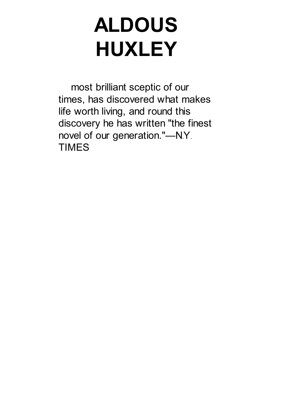## **ALDOUS HUXLEY**

most brilliant sceptic of our times, has discovered what makes life worth living, and round this discovery he has written "the finest novel of our generation."—N.Y. TIMES